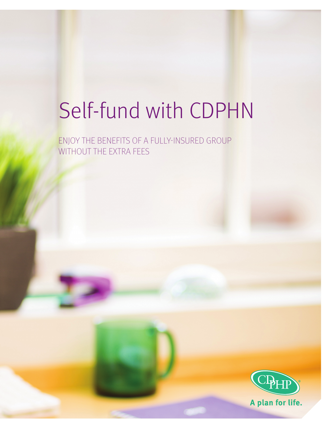# Self-fund with CDPHN

ENJOY THE BENEFITS OF A FULLY-INSURED GROUP WITHOUT THE EXTRA FEES

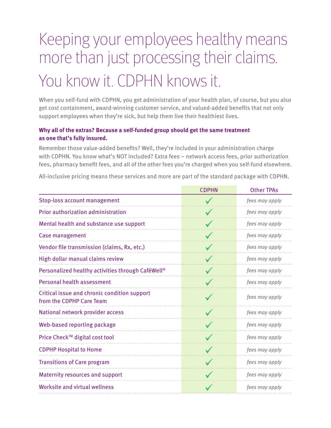## Keeping your employees healthy means more than just processing their claims. You know it. CDPHN knows it.

When you self-fund with CDPHN, you get administration of your health plan, of course, but you also get cost containment, award-winning customer service, and valued-added benefits that not only support employees when they're sick, but help them live their healthiest lives.

#### **Why all of the extras? Because a self-funded group should get the same treatment as one that's fully insured.**

Remember those value-added benefits? Well, they're included in your administration charge with CDPHN. You know what's NOT included? Extra fees – network access fees, prior authorization fees, pharmacy benefit fees, and all of the other fees you're charged when you self-fund elsewhere.

All-inclusive pricing means these services and more are part of the standard package with CDPHN.

| <b>CDPHN</b> | <b>Other TPAs</b> |
|--------------|-------------------|
|              | fees may apply    |
|              | fees may apply    |
|              | fees may apply    |
|              | fees may apply    |
| $\checkmark$ | fees may apply    |
| $\checkmark$ | fees may apply    |
|              | fees may apply    |
|              | fees may apply    |
|              | fees may apply    |
|              | fees may apply    |
| $\checkmark$ | fees may apply    |
|              | fees may apply    |
| $\checkmark$ | fees may apply    |
|              | fees may apply    |
|              | fees may apply    |
|              | fees may apply    |
|              |                   |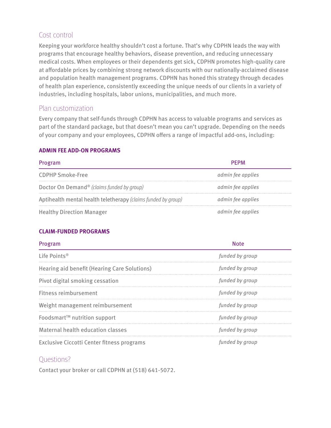### Cost control

Keeping your workforce healthy shouldn't cost a fortune. That's why CDPHN leads the way with programs that encourage healthy behaviors, disease prevention, and reducing unnecessary medical costs. When employees or their dependents get sick, CDPHN promotes high-quality care at affordable prices by combining strong network discounts with our nationally-acclaimed disease and population health management programs. CDPHN has honed this strategy through decades of health plan experience, consistently exceeding the unique needs of our clients in a variety of industries, including hospitals, labor unions, municipalities, and much more.

#### Plan customization

Every company that self-funds through CDPHN has access to valuable programs and services as part of the standard package, but that doesn't mean you can't upgrade. Depending on the needs of your company and your employees, CDPHN offers a range of impactful add-ons, including:

#### **ADMIN FEE ADD-ON PROGRAMS**

| Program                                                       | PFPM              |
|---------------------------------------------------------------|-------------------|
| <b>CDPHP Smoke-Free</b>                                       | admin fee applies |
| Doctor On Demand® (claims funded by group)                    | admin fee applies |
| Aptihealth mental health teletherapy (claims funded by group) | admin fee applies |
| <b>Healthy Direction Manager</b>                              | admin fee applies |

#### **CLAIM-FUNDED PROGRAMS**

| Program                                      | Note            |
|----------------------------------------------|-----------------|
| Life Points <sup>®</sup>                     | funded by group |
| Hearing aid benefit (Hearing Care Solutions) | funded by group |
| Pivot digital smoking cessation              | funded by group |
| Fitness reimbursement                        | funded by group |
| Weight management reimbursement              | funded by group |
| Foodsmart <sup>™</sup> nutrition support     | funded by group |
| Maternal health education classes            | funded by group |
| Exclusive Ciccotti Center fitness programs   | funded by group |

#### Questions?

Contact your broker or call CDPHN at (518) 641-5072.